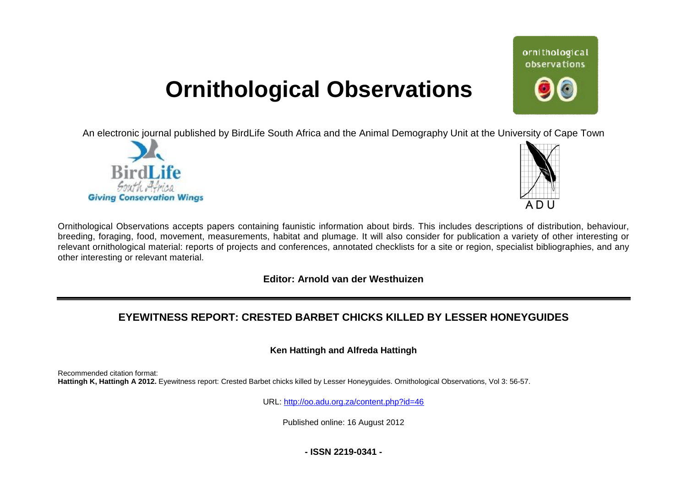# **Ornithological Observations**

An electronic journal published by BirdLife South Africa and the Animal Demography Unit at the University of Cape Town





ornithological observations

Ornithological Observations accepts papers containing faunistic information about birds. This includes descriptions of distribution, behaviour, Ornithological Observations accepts papers containing faunistic information about birds. This includes descriptions of distribution, behaviour,<br>breeding, foraging, food, movement, measurements, habitat and plumage. It will relevant ornithological material: reports of projects and conferences, annotated checklists for a site or region, specialist bibliographies, and any other interesting or relevant material.

# **Editor: Arnold van der Westhuizen**

# **EYEWITNESS REPORT: CRESTED BARBET CHICKS KILLED BY LESSER HONEYGUIDE HONEYGUIDES**

## **Ken Hattingh and Alfreda Hattingh**

Recommended citation format: Hattingh K, Hattingh A 2012. Eyewitness report: Crested Barbet chicks killed by Lesser Honeyguides. Ornithological Observations, Vol 3: 56-57.

URL: http://oo.adu.org.za/content.php?id=46

Published online: 16 August 2012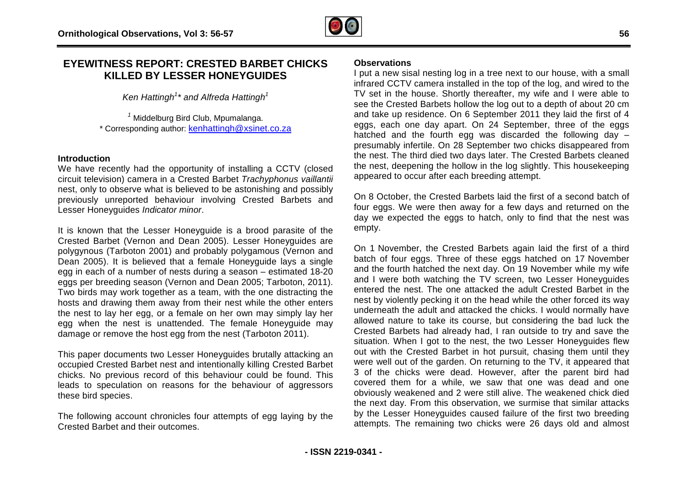# **EYEWITNESS REPORT: CRESTED BARBET CHICKS KILLED BY LESSER HONEYGUIDE HONEYGUIDES**

*Ken Hattingh<sup>1</sup> \* and Alfreda Hattingh<sup>1</sup>*

<sup>1</sup> Middelburg Bird Club, Mpumalanga. \* Corresponding author: **[kenhattingh@xsinet.co.za](mailto:kenhattingh@xsinet.co.za)** 

#### **Introduction**

We have recently had the opportunity of installing a CCTV (closed circuit television) camera in a Crested B Barbet *Trachyphonus vaillantii*  nest, only to observe what is believed to be astonishing and possibly previously unreported behaviour involving Crested Barbets and Lesser Honeyguides *Indicator minor*.

It is known that the Lesser Honeyguide is a brood parasite of the Crested Barbet (Vernon and Dean 2005). Lesser Honeyguides are polygynous (Tarboton 2001) and probably polygamous (Vernon and Dean 2005). It is believed that a female Honeyguide lays a single egg in each of a number of nests during a season – estimated 18-20 eggs per breeding season (Vernon and Dean 2005; Tarboton, 2011). Two birds may work together as a team, with the one distracting the hosts and drawing them away from their nest while the other enters the nest to lay her egg, or a female on her own may simply lay her the nest to lay her egg, or a female on her own may simply lay her<br>egg when the nest is unattended. The female Honeyguide may damage or remove the host egg from the nest (Tarboton 2011). **REPORT: CRESTED BARBET CHICKS**<br>
DOMENT INTERNATIONS INTERNATIONS INTERNATIONS INTERNATIONS INTERNATIONS INTERNATIONS INTERNATION TO EXECUTE THE AND HOTEL INTERNATION TO EXECUTE THE AND HOTEL INTERNATION INTERNATION INTERN

This paper documents two Lesser Honeyguides brutally attacking an occupied Crested Barbet nest and intentionally killing Crested Barbet chicks. No previous record of this behaviour could be found. This leads to speculation on reasons for the behaviour of aggressors these bird species.

The following account chronicles four attempts of egg laying by the Crested Barbet and their outcomes.

I put a new sisal nesting log in a tree next to our house, with a small infrared CCTV camera installed in the top of the log, and wired to the infrared CCTV camera installed in the top of the log, and wired to the<br>TV set in the house. Shortly thereafter, my wife and I were able to see the Crested Barbets hollow the log out to a depth of about 20 cm and take up residence. On 6 September 2011 they laid the first of 4 eggs, each one day apart. On 24 September, three of the eggs hatched and the fourth egg was discarded the following day presumably infertile. On 28 September two chicks disappeared from presumably infertile. On 28 September two chicks disappeared from<br>the nest. The third died two days later. The Crested Barbets cleaned the nest, deepening the hollow in the log slightly. This housekeeping appeared to occur after each breeding attempt.

On 8 October, the Crested Barbets laid the first of a second batch of four eggs. We were then away for a few days and returned on the day we expected the eggs to hatch, only to find that the nest was empty. four eggs. We were then away for a few days and returned on the<br>day we expected the eggs to hatch, only to find that the nest was<br>empty.<br>On 1 November, the Crested Barbets again laid the first of a third<br>batch of four eggs

On 1 November, the Crested Barbets again laid the first of a third and the fourth hatched the next day. On 19 November while my wife and I were both watching the TV screen, two Lesser Honeyguides entered the nest. The one attacked the adult Crested Barbet in the nest by violently pecking it on the head while the other forced its way underneath the adult and attacked the chicks. I would normally have underneath the adult and attacked the chicks. I would normally have<br>allowed nature to take its course, but considering the bad luck the Crested Barbets had already had, I ran outside to try and save the Crested Barbets had already had, I ran outside to try and save the<br>situation. When I got to the nest, the two Lesser Honeyguides flew out with the Crested Barbet in hot pursuit, chasing them until they were well out of the garden. On returning to the TV, it appeared that 3 of the chicks were dead. However, after the parent bird had covered them for a while, we saw that one was dead and one obviously weakened and 2 were still alive. The weakened chick died the next day. From this observation, we surmise that similar attacks by the Lesser Honeyguides caused failure of the first two breeding the next day. From this observation, we surmise that similar attacks<br>by the Lesser Honeyguides caused failure of the first two breeding<br>attempts. The remaining two chicks were 26 days old and almost arbet in hot pursuit, chasing them until<br>den. On returning to the TV, it appeared<br>dead. However, after the parent bird<br>hile, we saw that one was dead and